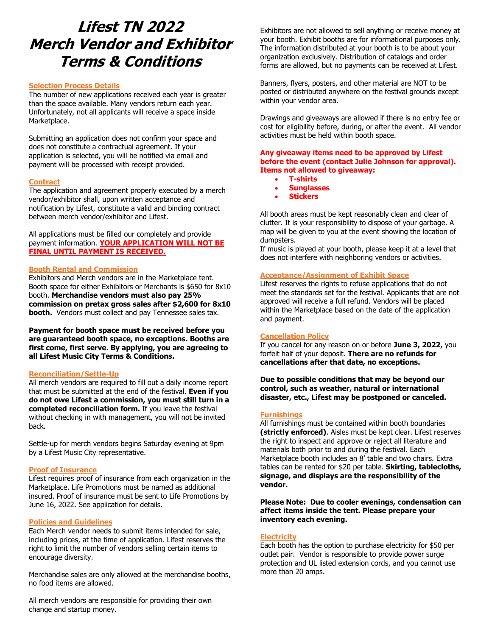# **Lifest TN 2022 Merch Vendor and Exhibitor Terms & Conditions**

#### **Selection Process Details**

The number of new applications received each year is greater than the space available. Many vendors return each year. Unfortunately, not all applicants will receive a space inside Marketplace.

Submitting an application does not confirm your space and does not constitute a contractual agreement. If your application is selected, you will be notified via email and payment will be processed with receipt provided.

## **Contract**

The application and agreement properly executed by a merch vendor/exhibitor shall, upon written acceptance and notification by Lifest, constitute a valid and binding contract between merch vendor/exhibitor and Lifest.

All applications must be filled our completely and provide payment information. **YOUR APPLICATION WILL NOT BE FINAL UNTIL PAYMENT IS RECEIVED.** 

## **Booth Rental and Commission**

Exhibitors and Merch vendors are in the Marketplace tent. Booth space for either Exhibitors or Merchants is \$650 for 8x10 booth. **Merchandise vendors must also pay 25% commission on pretax gross sales after \$2,600 for 8x10 booth.** Vendors must collect and pay Tennessee sales tax.

**Payment for booth space must be received before you are guaranteed booth space, no exceptions. Booths are first come, first serve. By applying, you are agreeing to all Lifest Music City Terms & Conditions.** 

## **Reconciliation/Settle-Up**

All merch vendors are required to fill out a daily income report that must be submitted at the end of the festival. **Even if you do not owe Lifest a commission, you must still turn in a completed reconciliation form.** If you leave the festival without checking in with management, you will not be invited back.

Settle-up for merch vendors begins Saturday evening at 9pm by a Lifest Music City representative.

## **Proof of Insurance**

Lifest requires proof of insurance from each organization in the Marketplace. Life Promotions must be named as additional insured. Proof of insurance must be sent to Life Promotions by June 16, 2022. See application for details.

## **Policies and Guidelines**

Each Merch vendor needs to submit items intended for sale, including prices, at the time of application. Lifest reserves the right to limit the number of vendors selling certain items to encourage diversity.

Merchandise sales are only allowed at the merchandise booths, no food items are allowed.

All merch vendors are responsible for providing their own change and startup money.

Exhibitors are not allowed to sell anything or receive money at your booth. Exhibit booths are for informational purposes only. The information distributed at your booth is to be about your organization exclusively. Distribution of catalogs and order forms are allowed, but no payments can be received at Lifest.

Banners, flyers, posters, and other material are NOT to be posted or distributed anywhere on the festival grounds except within your vendor area.

Drawings and giveaways are allowed if there is no entry fee or cost for eligibility before, during, or after the event. All vendor activities must be held within booth space.

**Any giveaway items need to be approved by Lifest before the event (contact Julie Johnson for approval). Items not allowed to giveaway:**

- **T-shirts**
- **Sunglasses**
- **Stickers**

All booth areas must be kept reasonably clean and clear of clutter. It is your responsibility to dispose of your garbage. A map will be given to you at the event showing the location of dumpsters.

If music is played at your booth, please keep it at a level that does not interfere with neighboring vendors or activities.

## **Acceptance/Assignment of Exhibit Space**

Lifest reserves the rights to refuse applications that do not meet the standards set for the festival. Applicants that are not approved will receive a full refund. Vendors will be placed within the Marketplace based on the date of the application and payment.

## **Cancellation Policy**

If you cancel for any reason on or before **June 3, 2022,** you forfeit half of your deposit. **There are no refunds for cancellations after that date, no exceptions.**

**Due to possible conditions that may be beyond our control, such as weather, natural or international disaster, etc., Lifest may be postponed or canceled.** 

# **Furnishings**

All furnishings must be contained within booth boundaries **(strictly enforced)**. Aisles must be kept clear. Lifest reserves the right to inspect and approve or reject all literature and materials both prior to and during the festival. Each Marketplace booth includes an 8' table and two chairs. Extra tables can be rented for \$20 per table. **Skirting, tablecloths, signage, and displays are the responsibility of the vendor.** 

**Please Note: Due to cooler evenings, condensation can affect items inside the tent. Please prepare your inventory each evening.** 

## **Electricity**

Each booth has the option to purchase electricity for \$50 per outlet pair. Vendor is responsible to provide power surge protection and UL listed extension cords, and you cannot use more than 20 amps.